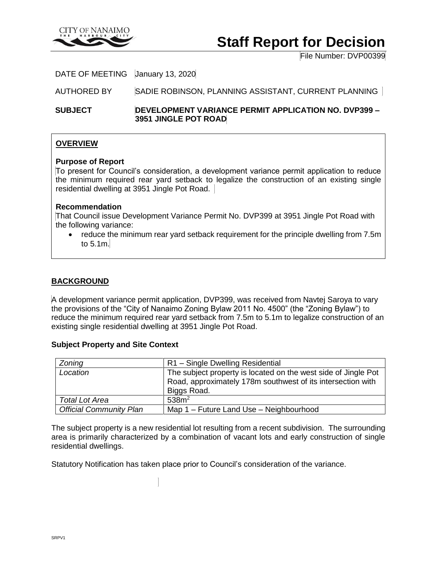

# **Staff Report for Decision**

File Number: DVP00399

### DATE OF MEETING January 13, 2020

AUTHORED BY SADIE ROBINSON, PLANNING ASSISTANT, CURRENT PLANNING

**SUBJECT DEVELOPMENT VARIANCE PERMIT APPLICATION NO. DVP399 – 3951 JINGLE POT ROAD**

## **OVERVIEW**

#### **Purpose of Report**

To present for Council's consideration, a development variance permit application to reduce the minimum required rear yard setback to legalize the construction of an existing single residential dwelling at 3951 Jingle Pot Road.

#### **Recommendation**

That Council issue Development Variance Permit No. DVP399 at 3951 Jingle Pot Road with the following variance:

• reduce the minimum rear yard setback requirement for the principle dwelling from 7.5m to 5.1m.

#### **BACKGROUND**

A development variance permit application, DVP399, was received from Navtej Saroya to vary the provisions of the "City of Nanaimo Zoning Bylaw 2011 No. 4500" (the "Zoning Bylaw") to reduce the minimum required rear yard setback from 7.5m to 5.1m to legalize construction of an existing single residential dwelling at 3951 Jingle Pot Road.

#### **Subject Property and Site Context**

| Zoning                         | R1 - Single Dwelling Residential                               |
|--------------------------------|----------------------------------------------------------------|
| Location                       | The subject property is located on the west side of Jingle Pot |
|                                | Road, approximately 178m southwest of its intersection with    |
|                                | Biggs Road.                                                    |
| <b>Total Lot Area</b>          | 538m <sup>2</sup>                                              |
| <b>Official Community Plan</b> | Map 1 - Future Land Use - Neighbourhood                        |

The subject property is a new residential lot resulting from a recent subdivision. The surrounding area is primarily characterized by a combination of vacant lots and early construction of single residential dwellings.

Statutory Notification has taken place prior to Council's consideration of the variance.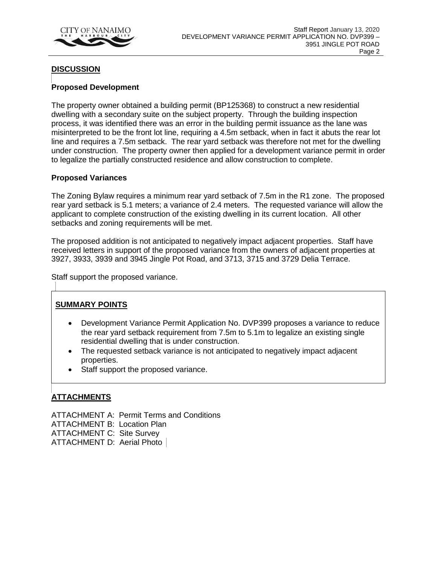

## **DISCUSSION**

## **Proposed Development**

The property owner obtained a building permit (BP125368) to construct a new residential dwelling with a secondary suite on the subject property. Through the building inspection process, it was identified there was an error in the building permit issuance as the lane was misinterpreted to be the front lot line, requiring a 4.5m setback, when in fact it abuts the rear lot line and requires a 7.5m setback. The rear yard setback was therefore not met for the dwelling under construction. The property owner then applied for a development variance permit in order to legalize the partially constructed residence and allow construction to complete.

#### **Proposed Variances**

The Zoning Bylaw requires a minimum rear yard setback of 7.5m in the R1 zone. The proposed rear yard setback is 5.1 meters; a variance of 2.4 meters. The requested variance will allow the applicant to complete construction of the existing dwelling in its current location. All other setbacks and zoning requirements will be met.

The proposed addition is not anticipated to negatively impact adjacent properties. Staff have received letters in support of the proposed variance from the owners of adjacent properties at 3927, 3933, 3939 and 3945 Jingle Pot Road, and 3713, 3715 and 3729 Delia Terrace.

Staff support the proposed variance.

## **SUMMARY POINTS**

- Development Variance Permit Application No. DVP399 proposes a variance to reduce the rear yard setback requirement from 7.5m to 5.1m to legalize an existing single residential dwelling that is under construction.
- The requested setback variance is not anticipated to negatively impact adjacent properties.
- Staff support the proposed variance.

## **ATTACHMENTS**

ATTACHMENT A: Permit Terms and Conditions ATTACHMENT B: Location Plan ATTACHMENT C: Site Survey ATTACHMENT D: Aerial Photo